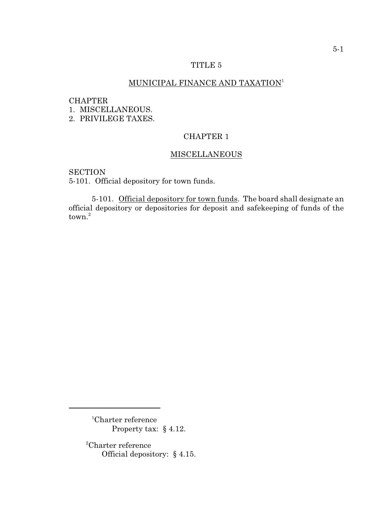## TITLE 5

# MUNICIPAL FINANCE AND TAXATION<sup>1</sup>

#### **CHAPTER**

1. MISCELLANEOUS.

2. PRIVILEGE TAXES.

### CHAPTER 1

# MISCELLANEOUS

**SECTION** 

5-101. Official depository for town funds.

5-101. Official depository for town funds. The board shall designate an official depository or depositories for deposit and safekeeping of funds of the town.<sup>2</sup>

<sup>1</sup>Charter reference Property tax: § 4.12.

 ${}^{2}$ Charter reference Official depository: § 4.15.